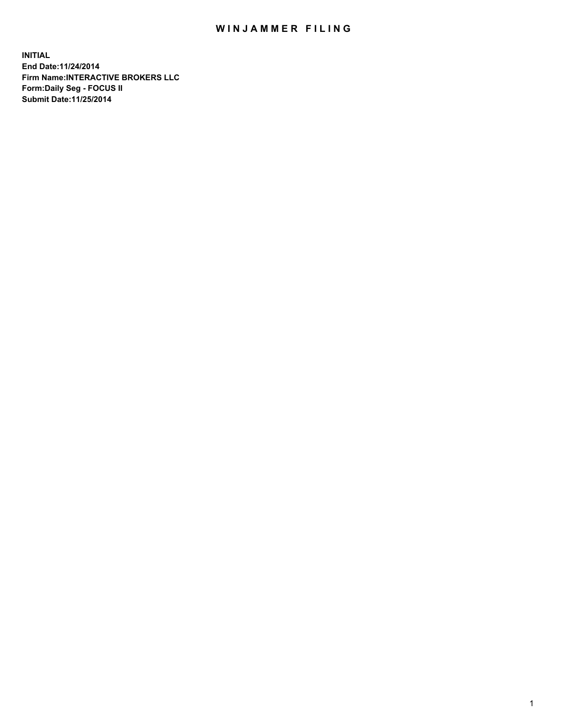## WIN JAMMER FILING

**INITIAL End Date:11/24/2014 Firm Name:INTERACTIVE BROKERS LLC Form:Daily Seg - FOCUS II Submit Date:11/25/2014**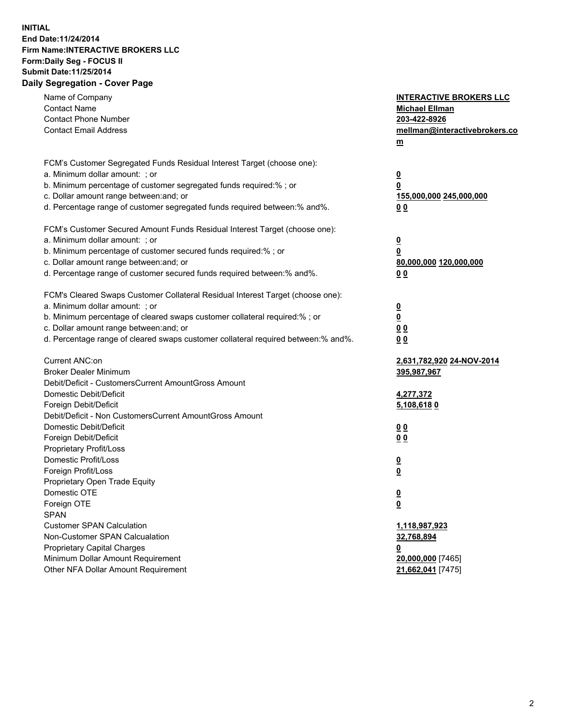## **INITIAL End Date:11/24/2014 Firm Name:INTERACTIVE BROKERS LLC Form:Daily Seg - FOCUS II Submit Date:11/25/2014 Daily Segregation - Cover Page**

| Name of Company<br><b>Contact Name</b><br><b>Contact Phone Number</b><br><b>Contact Email Address</b>                                                                                                                                                                                                                          | <b>INTERACTIVE BROKERS LLC</b><br><b>Michael Ellman</b><br>203-422-8926<br>mellman@interactivebrokers.co<br>$m$ |
|--------------------------------------------------------------------------------------------------------------------------------------------------------------------------------------------------------------------------------------------------------------------------------------------------------------------------------|-----------------------------------------------------------------------------------------------------------------|
| FCM's Customer Segregated Funds Residual Interest Target (choose one):<br>a. Minimum dollar amount: ; or<br>b. Minimum percentage of customer segregated funds required:% ; or                                                                                                                                                 | $\overline{\mathbf{0}}$<br>0                                                                                    |
| c. Dollar amount range between: and; or<br>d. Percentage range of customer segregated funds required between:% and%.                                                                                                                                                                                                           | 155,000,000 245,000,000<br>0 <sub>0</sub>                                                                       |
| FCM's Customer Secured Amount Funds Residual Interest Target (choose one):<br>a. Minimum dollar amount: ; or<br>b. Minimum percentage of customer secured funds required:% ; or<br>c. Dollar amount range between: and; or<br>d. Percentage range of customer secured funds required between:% and%.                           | $\overline{\mathbf{0}}$<br>0<br>80,000,000 120,000,000<br>0 <sub>0</sub>                                        |
| FCM's Cleared Swaps Customer Collateral Residual Interest Target (choose one):<br>a. Minimum dollar amount: ; or<br>b. Minimum percentage of cleared swaps customer collateral required:% ; or<br>c. Dollar amount range between: and; or<br>d. Percentage range of cleared swaps customer collateral required between:% and%. | $\overline{\mathbf{0}}$<br>$\overline{\mathbf{0}}$<br>0 <sub>0</sub><br>0 <sub>0</sub>                          |
| Current ANC:on<br><b>Broker Dealer Minimum</b><br>Debit/Deficit - CustomersCurrent AmountGross Amount                                                                                                                                                                                                                          | 2,631,782,920 24-NOV-2014<br>395,987,967                                                                        |
| Domestic Debit/Deficit<br>Foreign Debit/Deficit<br>Debit/Deficit - Non CustomersCurrent AmountGross Amount                                                                                                                                                                                                                     | 4,277,372<br><u>5,108,6180</u>                                                                                  |
| Domestic Debit/Deficit<br>Foreign Debit/Deficit<br>Proprietary Profit/Loss                                                                                                                                                                                                                                                     | 0 <sub>0</sub><br>0 <sub>0</sub>                                                                                |
| Domestic Profit/Loss<br>Foreign Profit/Loss<br>Proprietary Open Trade Equity                                                                                                                                                                                                                                                   | $\overline{\mathbf{0}}$<br>$\underline{\mathbf{0}}$                                                             |
| Domestic OTE<br>Foreign OTE<br><b>SPAN</b>                                                                                                                                                                                                                                                                                     | <u>0</u><br><u>0</u>                                                                                            |
| <b>Customer SPAN Calculation</b><br>Non-Customer SPAN Calcualation<br>Proprietary Capital Charges<br>Minimum Dollar Amount Requirement                                                                                                                                                                                         | 1,118,987,923<br>32,768,894<br><u>0</u><br>20,000,000 [7465]                                                    |
| Other NFA Dollar Amount Requirement                                                                                                                                                                                                                                                                                            | 21,662,041 [7475]                                                                                               |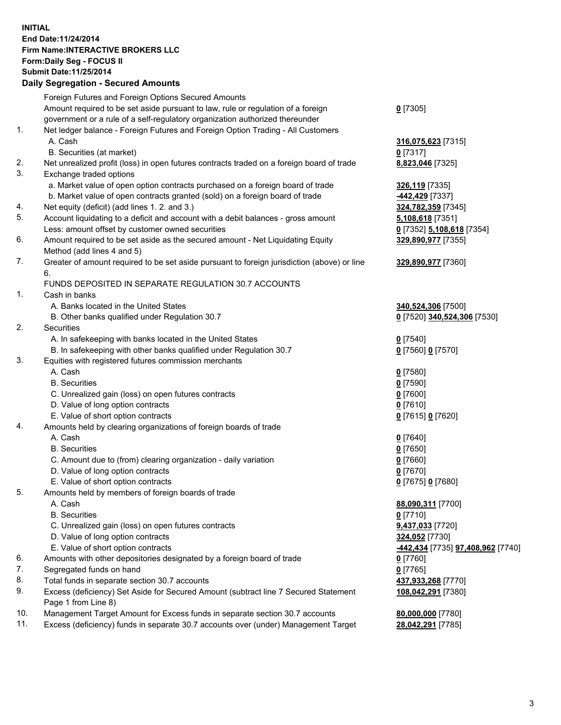## **INITIAL End Date:11/24/2014 Firm Name:INTERACTIVE BROKERS LLC Form:Daily Seg - FOCUS II Submit Date:11/25/2014 Daily Segregation - Secured Amounts**

| Foreign Futures and Foreign Options Secured Amounts                                         |                                  |
|---------------------------------------------------------------------------------------------|----------------------------------|
| Amount required to be set aside pursuant to law, rule or regulation of a foreign            | $0$ [7305]                       |
| government or a rule of a self-regulatory organization authorized thereunder                |                                  |
| Net ledger balance - Foreign Futures and Foreign Option Trading - All Customers             |                                  |
| A. Cash                                                                                     | 316,075,623 [7315]               |
| B. Securities (at market)                                                                   | $0$ [7317]                       |
| Net unrealized profit (loss) in open futures contracts traded on a foreign board of trade   | 8,823,046 [7325]                 |
| Exchange traded options                                                                     |                                  |
| a. Market value of open option contracts purchased on a foreign board of trade              | 326,119 [7335]                   |
| b. Market value of open contracts granted (sold) on a foreign board of trade                | -442,429 [7337]                  |
| Net equity (deficit) (add lines 1.2. and 3.)                                                | 324,782,359 [7345]               |
| Account liquidating to a deficit and account with a debit balances - gross amount           | 5,108,618 [7351]                 |
| Less: amount offset by customer owned securities                                            | 0 [7352] 5,108,618 [7354]        |
| Amount required to be set aside as the secured amount - Net Liquidating Equity              | 329,890,977 [7355]               |
| Method (add lines 4 and 5)                                                                  |                                  |
| Greater of amount required to be set aside pursuant to foreign jurisdiction (above) or line | 329,890,977 [7360]               |
| 6.                                                                                          |                                  |
| FUNDS DEPOSITED IN SEPARATE REGULATION 30.7 ACCOUNTS                                        |                                  |
| Cash in banks                                                                               |                                  |
| A. Banks located in the United States                                                       | 340,524,306 [7500]               |
| B. Other banks qualified under Regulation 30.7                                              | 0 [7520] 340,524,306 [7530]      |
| Securities                                                                                  |                                  |
| A. In safekeeping with banks located in the United States                                   | $0$ [7540]                       |
| B. In safekeeping with other banks qualified under Regulation 30.7                          | 0 [7560] 0 [7570]                |
| Equities with registered futures commission merchants                                       |                                  |
| A. Cash                                                                                     | $0$ [7580]                       |
| <b>B.</b> Securities                                                                        | $0$ [7590]                       |
| C. Unrealized gain (loss) on open futures contracts                                         | $0$ [7600]                       |
| D. Value of long option contracts                                                           | $0$ [7610]                       |
| E. Value of short option contracts                                                          | 0 [7615] 0 [7620]                |
| Amounts held by clearing organizations of foreign boards of trade                           |                                  |
| A. Cash                                                                                     | $0$ [7640]                       |
| <b>B.</b> Securities                                                                        | $0$ [7650]                       |
| C. Amount due to (from) clearing organization - daily variation                             | $0$ [7660]                       |
| D. Value of long option contracts                                                           | $0$ [7670]                       |
| E. Value of short option contracts                                                          | 0 [7675] 0 [7680]                |
| Amounts held by members of foreign boards of trade                                          |                                  |
| A. Cash                                                                                     | 88,090,311 [7700]                |
| <b>B.</b> Securities                                                                        | $0$ [7710]                       |
| C. Unrealized gain (loss) on open futures contracts                                         | 9,437,033 [7720]                 |
| D. Value of long option contracts                                                           | 324,052 [7730]                   |
| E. Value of short option contracts                                                          | 442,434 [7735] 97,408,962 [7740] |
| Amounts with other depositories designated by a foreign board of trade                      | $0$ [7760]                       |
| Segregated funds on hand                                                                    | $0$ [7765]                       |
| Total funds in separate section 30.7 accounts                                               | 437,933,268 [7770]               |
| Excess (deficiency) Set Aside for Secured Amount (subtract line 7 Secured Statement         | 108,042,291 [7380]               |
| Page 1 from Line 8)                                                                         |                                  |
| Management Target Amount for Excess funds in separate section 30.7 accounts                 | 80,000,000 [7780]                |
| Excess (deficiency) funds in separate 30.7 accounts over (under) Management Target          | 28,042,291 [7785]                |
|                                                                                             |                                  |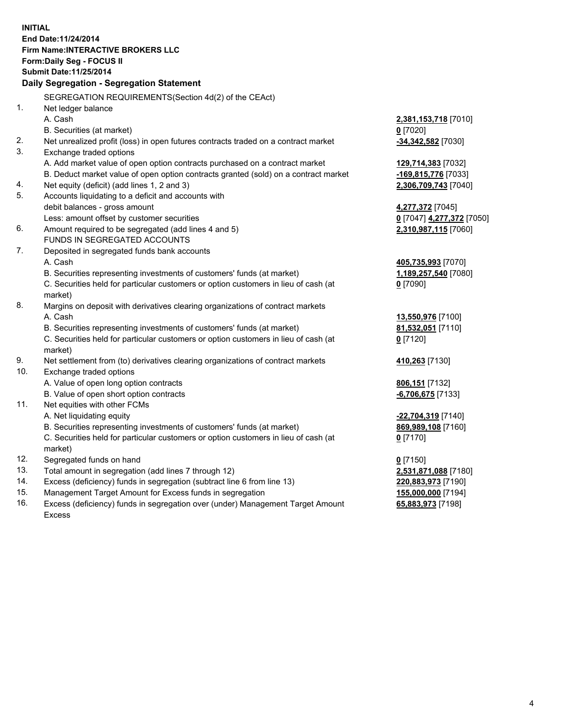**INITIAL End Date:11/24/2014 Firm Name:INTERACTIVE BROKERS LLC Form:Daily Seg - FOCUS II Submit Date:11/25/2014 Daily Segregation - Segregation Statement** SEGREGATION REQUIREMENTS(Section 4d(2) of the CEAct) 1. Net ledger balance A. Cash **2,381,153,718** [7010] B. Securities (at market) **0** [7020] 2. Net unrealized profit (loss) in open futures contracts traded on a contract market **-34,342,582** [7030] 3. Exchange traded options A. Add market value of open option contracts purchased on a contract market **129,714,383** [7032] B. Deduct market value of open option contracts granted (sold) on a contract market **-169,815,776** [7033] 4. Net equity (deficit) (add lines 1, 2 and 3) **2,306,709,743** [7040] 5. Accounts liquidating to a deficit and accounts with debit balances - gross amount **4,277,372** [7045] Less: amount offset by customer securities **0** [7047] **4,277,372** [7050] 6. Amount required to be segregated (add lines 4 and 5) **2,310,987,115** [7060] FUNDS IN SEGREGATED ACCOUNTS 7. Deposited in segregated funds bank accounts A. Cash **405,735,993** [7070] B. Securities representing investments of customers' funds (at market) **1,189,257,540** [7080] C. Securities held for particular customers or option customers in lieu of cash (at market) **0** [7090] 8. Margins on deposit with derivatives clearing organizations of contract markets A. Cash **13,550,976** [7100] B. Securities representing investments of customers' funds (at market) **81,532,051** [7110] C. Securities held for particular customers or option customers in lieu of cash (at market) **0** [7120] 9. Net settlement from (to) derivatives clearing organizations of contract markets **410,263** [7130] 10. Exchange traded options A. Value of open long option contracts **806,151** [7132] B. Value of open short option contracts **-6,706,675** [7133] 11. Net equities with other FCMs A. Net liquidating equity **-22,704,319** [7140] B. Securities representing investments of customers' funds (at market) **869,989,108** [7160] C. Securities held for particular customers or option customers in lieu of cash (at market) **0** [7170] 12. Segregated funds on hand **0** [7150] 13. Total amount in segregation (add lines 7 through 12) **2,531,871,088** [7180] 14. Excess (deficiency) funds in segregation (subtract line 6 from line 13) **220,883,973** [7190] 15. Management Target Amount for Excess funds in segregation **155,000,000** [7194]

16. Excess (deficiency) funds in segregation over (under) Management Target Amount Excess

**65,883,973** [7198]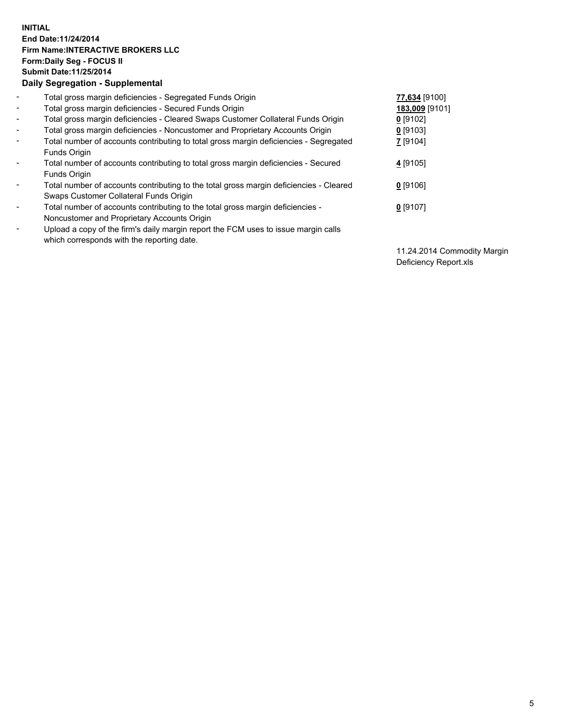## **INITIAL End Date:11/24/2014 Firm Name:INTERACTIVE BROKERS LLC Form:Daily Seg - FOCUS II Submit Date:11/25/2014 Daily Segregation - Supplemental**

| $\blacksquare$ | Total gross margin deficiencies - Segregated Funds Origin                              | 77,634 [9100]  |
|----------------|----------------------------------------------------------------------------------------|----------------|
| $\blacksquare$ | Total gross margin deficiencies - Secured Funds Origin                                 | 183,009 [9101] |
| $\blacksquare$ | Total gross margin deficiencies - Cleared Swaps Customer Collateral Funds Origin       | $0$ [9102]     |
| $\blacksquare$ | Total gross margin deficiencies - Noncustomer and Proprietary Accounts Origin          | 0 [9103]       |
| $\blacksquare$ | Total number of accounts contributing to total gross margin deficiencies - Segregated  | 7 [9104]       |
|                | <b>Funds Origin</b>                                                                    |                |
| $\blacksquare$ | Total number of accounts contributing to total gross margin deficiencies - Secured     | 4 [9105]       |
|                | <b>Funds Origin</b>                                                                    |                |
| $\blacksquare$ | Total number of accounts contributing to the total gross margin deficiencies - Cleared | $0$ [9106]     |
|                | Swaps Customer Collateral Funds Origin                                                 |                |
| $\blacksquare$ | Total number of accounts contributing to the total gross margin deficiencies -         | $0$ [9107]     |
|                | Noncustomer and Proprietary Accounts Origin                                            |                |
| $\blacksquare$ | Upload a copy of the firm's daily margin report the FCM uses to issue margin calls     |                |
|                | which corresponds with the reporting date.                                             |                |

11.24.2014 Commodity Margin Deficiency Report.xls